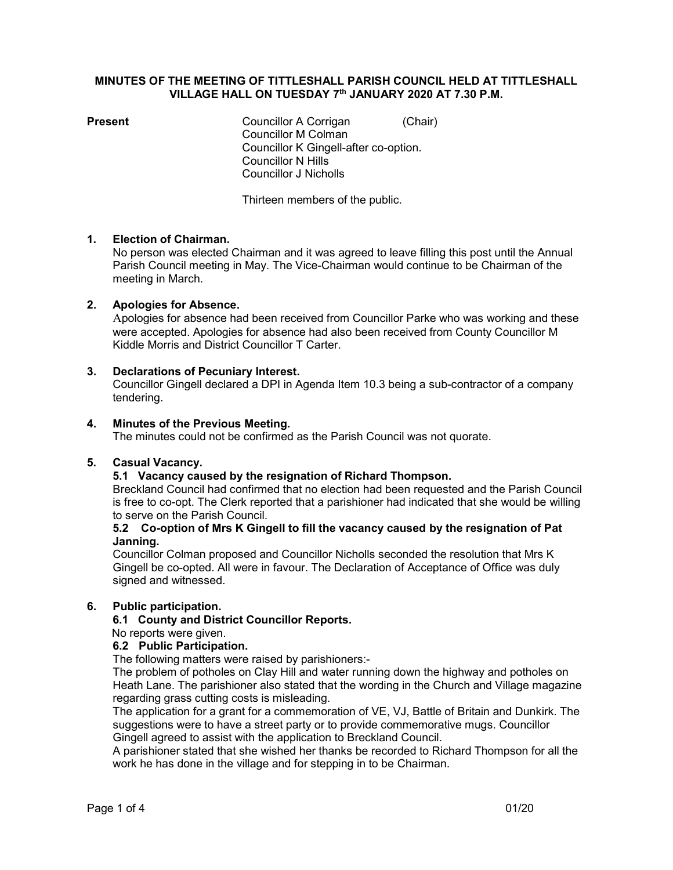# MINUTES OF THE MEETING OF TITTLESHALL PARISH COUNCIL HELD AT TITTLESHALL VILLAGE HALL ON TUESDAY 7<sup>th</sup> JANUARY 2020 AT 7.30 P.M.

**Present** Councillor A Corrigan (Chair) Councillor M Colman Councillor K Gingell-after co-option. Councillor N Hills Councillor J Nicholls

Thirteen members of the public.

# 1. Election of Chairman.

No person was elected Chairman and it was agreed to leave filling this post until the Annual Parish Council meeting in May. The Vice-Chairman would continue to be Chairman of the meeting in March.

# 2. Apologies for Absence.

 Apologies for absence had been received from Councillor Parke who was working and these were accepted. Apologies for absence had also been received from County Councillor M Kiddle Morris and District Councillor T Carter.

#### 3. Declarations of Pecuniary Interest.

Councillor Gingell declared a DPI in Agenda Item 10.3 being a sub-contractor of a company tendering.

#### 4. Minutes of the Previous Meeting.

The minutes could not be confirmed as the Parish Council was not quorate.

#### 5. Casual Vacancy.

# 5.1 Vacancy caused by the resignation of Richard Thompson.

Breckland Council had confirmed that no election had been requested and the Parish Council is free to co-opt. The Clerk reported that a parishioner had indicated that she would be willing to serve on the Parish Council.

#### 5.2 Co-option of Mrs K Gingell to fill the vacancy caused by the resignation of Pat Janning.

Councillor Colman proposed and Councillor Nicholls seconded the resolution that Mrs K Gingell be co-opted. All were in favour. The Declaration of Acceptance of Office was duly signed and witnessed.

# 6. Public participation.

# 6.1 County and District Councillor Reports.

#### No reports were given.

# 6.2 Public Participation.

The following matters were raised by parishioners:-

The problem of potholes on Clay Hill and water running down the highway and potholes on Heath Lane. The parishioner also stated that the wording in the Church and Village magazine regarding grass cutting costs is misleading.

The application for a grant for a commemoration of VE, VJ, Battle of Britain and Dunkirk. The suggestions were to have a street party or to provide commemorative mugs. Councillor Gingell agreed to assist with the application to Breckland Council.

A parishioner stated that she wished her thanks be recorded to Richard Thompson for all the work he has done in the village and for stepping in to be Chairman.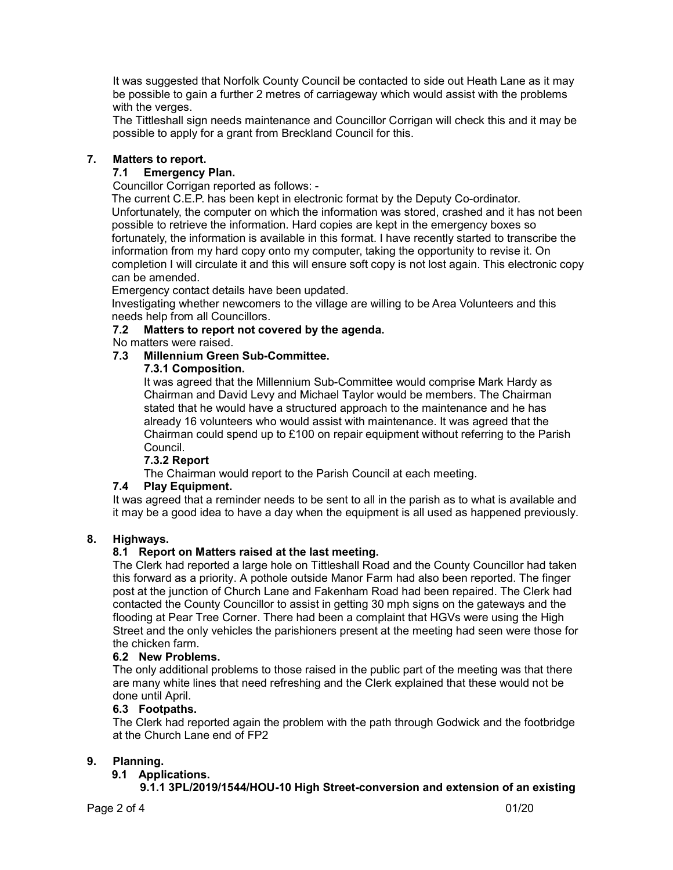It was suggested that Norfolk County Council be contacted to side out Heath Lane as it may be possible to gain a further 2 metres of carriageway which would assist with the problems with the verges.

The Tittleshall sign needs maintenance and Councillor Corrigan will check this and it may be possible to apply for a grant from Breckland Council for this.

# 7. Matters to report.

# 7.1 Emergency Plan.

Councillor Corrigan reported as follows: -

 The current C.E.P. has been kept in electronic format by the Deputy Co-ordinator. Unfortunately, the computer on which the information was stored, crashed and it has not been possible to retrieve the information. Hard copies are kept in the emergency boxes so fortunately, the information is available in this format. I have recently started to transcribe the information from my hard copy onto my computer, taking the opportunity to revise it. On completion I will circulate it and this will ensure soft copy is not lost again. This electronic copy can be amended.

Emergency contact details have been updated.

 Investigating whether newcomers to the village are willing to be Area Volunteers and this needs help from all Councillors.

# 7.2 Matters to report not covered by the agenda.

No matters were raised.

# 7.3 Millennium Green Sub-Committee.

# 7.3.1 Composition.

 It was agreed that the Millennium Sub-Committee would comprise Mark Hardy as Chairman and David Levy and Michael Taylor would be members. The Chairman stated that he would have a structured approach to the maintenance and he has already 16 volunteers who would assist with maintenance. It was agreed that the Chairman could spend up to £100 on repair equipment without referring to the Parish Council.

# 7.3.2 Report

The Chairman would report to the Parish Council at each meeting.

# 7.4 Play Equipment.

It was agreed that a reminder needs to be sent to all in the parish as to what is available and it may be a good idea to have a day when the equipment is all used as happened previously.

# 8. Highways.

# 8.1 Report on Matters raised at the last meeting.

The Clerk had reported a large hole on Tittleshall Road and the County Councillor had taken this forward as a priority. A pothole outside Manor Farm had also been reported. The finger post at the junction of Church Lane and Fakenham Road had been repaired. The Clerk had contacted the County Councillor to assist in getting 30 mph signs on the gateways and the flooding at Pear Tree Corner. There had been a complaint that HGVs were using the High Street and the only vehicles the parishioners present at the meeting had seen were those for the chicken farm.

# 6.2 New Problems.

The only additional problems to those raised in the public part of the meeting was that there are many white lines that need refreshing and the Clerk explained that these would not be done until April.

# 6.3 Footpaths.

The Clerk had reported again the problem with the path through Godwick and the footbridge at the Church Lane end of FP2

# 9. Planning.

# 9.1 Applications.

# 9.1.1 3PL/2019/1544/HOU-10 High Street-conversion and extension of an existing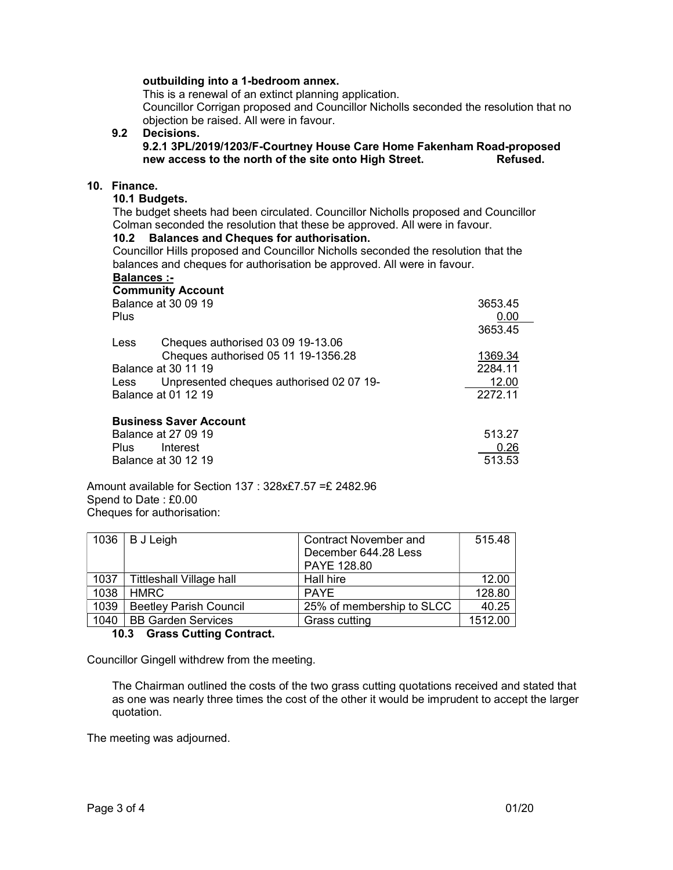#### outbuilding into a 1-bedroom annex.

This is a renewal of an extinct planning application.

 Councillor Corrigan proposed and Councillor Nicholls seconded the resolution that no objection be raised. All were in favour.

 9.2 Decisions. 9.2.1 3PL/2019/1203/F-Courtney House Care Home Fakenham Road-proposed new access to the north of the site onto High Street. Refused.

#### 10. Finance.

# 10.1 Budgets.

The budget sheets had been circulated. Councillor Nicholls proposed and Councillor Colman seconded the resolution that these be approved. All were in favour.

#### 10.2 Balances and Cheques for authorisation.

Councillor Hills proposed and Councillor Nicholls seconded the resolution that the balances and cheques for authorisation be approved. All were in favour.

# Balances :-

|                     | <b>Community Account</b>                 |         |
|---------------------|------------------------------------------|---------|
| Balance at 30 09 19 |                                          | 3653.45 |
| Plus                |                                          | 0.00    |
|                     |                                          | 3653.45 |
| Less                | Cheques authorised 03 09 19-13.06        |         |
|                     | Cheques authorised 05 11 19-1356.28      | 1369.34 |
| Balance at 30 11 19 |                                          | 2284.11 |
| Less                | Unpresented cheques authorised 02 07 19- | 12.00   |
| Balance at 01 12 19 |                                          | 2272.11 |
|                     | <b>Business Saver Account</b>            |         |
|                     | Balance at 27 09 19                      | 513.27  |
| Plus.               | Interest                                 | 0.26    |
|                     | Balance at 30 12 19                      | 513.53  |

Amount available for Section 137 : 328x£7.57 =£ 2482.96 Spend to Date : £0.00 Cheques for authorisation:

| 1036 | <b>B</b> J Leigh                | <b>Contract November and</b> | 515.48  |
|------|---------------------------------|------------------------------|---------|
|      |                                 | December 644.28 Less         |         |
|      |                                 | PAYE 128.80                  |         |
| 1037 | <b>Tittleshall Village hall</b> | Hall hire                    | 12.00   |
| 1038 | <b>HMRC</b>                     | <b>PAYE</b>                  | 128.80  |
| 1039 | <b>Beetley Parish Council</b>   | 25% of membership to SLCC    | 40.25   |
| 1040 | <b>BB Garden Services</b>       | Grass cutting                | 1512.00 |

#### 10.3 Grass Cutting Contract.

Councillor Gingell withdrew from the meeting.

 The Chairman outlined the costs of the two grass cutting quotations received and stated that as one was nearly three times the cost of the other it would be imprudent to accept the larger quotation.

The meeting was adjourned.